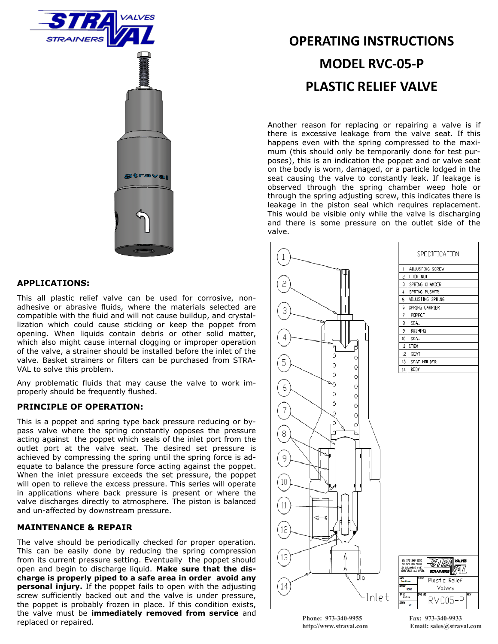

## **APPLICATIONS:**

This all plastic relief valve can be used for corrosive, nonadhesive or abrasive fluids, where the materials selected are compatible with the fluid and will not cause buildup, and crystallization which could cause sticking or keep the poppet from opening. When liquids contain debris or other solid matter, which also might cause internal clogging or improper operation of the valve, a strainer should be installed before the inlet of the valve. Basket strainers or filters can be purchased from STRA-VAL to solve this problem.

Any problematic fluids that may cause the valve to work improperly should be frequently flushed.

### **PRINCIPLE OF OPERATION:**

This is a poppet and spring type back pressure reducing or bypass valve where the spring constantly opposes the pressure acting against the poppet which seals of the inlet port from the outlet port at the valve seat. The desired set pressure is achieved by compressing the spring until the spring force is adequate to balance the pressure force acting against the poppet. When the inlet pressure exceeds the set pressure, the poppet will open to relieve the excess pressure. This series will operate in applications where back pressure is present or where the valve discharges directly to atmosphere. The piston is balanced and un-affected by downstream pressure.

## **MAINTENANCE & REPAIR**

The valve should be periodically checked for proper operation. This can be easily done by reducing the spring compression from its current pressure setting. Eventually the poppet should open and begin to discharge liquid. **Make sure that the discharge is properly piped to a safe area in order avoid any personal injury.** If the poppet fails to open with the adjusting screw sufficiently backed out and the valve is under pressure, the poppet is probably frozen in place. If this condition exists, the valve must be **immediately removed from service** and replaced or repaired.

# **OPERATING INSTRUCTIONS MODEL RVC-05-P PLASTIC RELIEF VALVE**

Another reason for replacing or repairing a valve is if there is excessive leakage from the valve seat. If this happens even with the spring compressed to the maximum (this should only be temporarily done for test purposes), this is an indication the poppet and or valve seat on the body is worn, damaged, or a particle lodged in the seat causing the valve to constantly leak. If leakage is observed through the spring chamber weep hole or through the spring adjusting screw, this indicates there is leakage in the piston seal which requires replacement. This would be visible only while the valve is discharging and there is some pressure on the outlet side of the valve.



**Phone: 973-340-9955 Fax: 973-340-9933**

**http://www.straval.com Email: sales@straval.com**